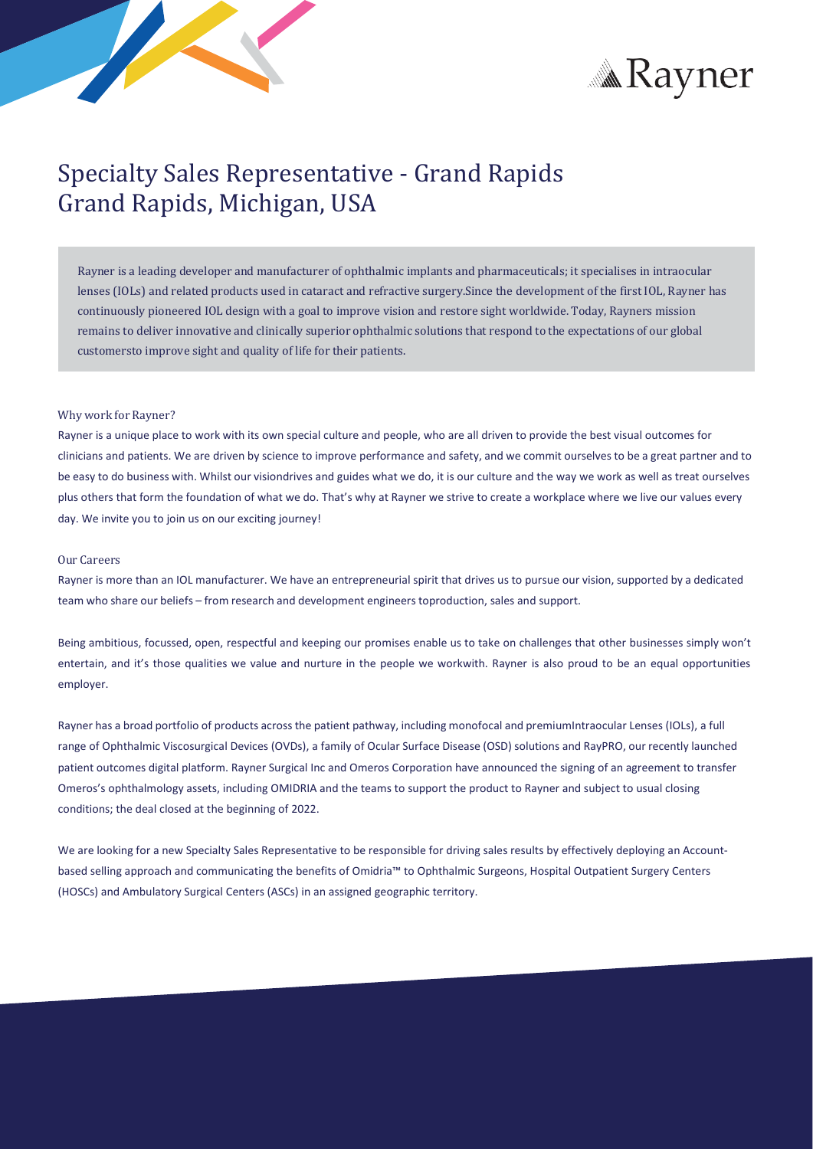



# Specialty Sales Representative - Grand Rapids Grand Rapids, Michigan, USA

Rayner is a leading developer and manufacturer of ophthalmic implants and pharmaceuticals; it specialises in intraocular lenses (IOLs) and related products used in cataract and refractive surgery.Since the development of the first IOL, Rayner has continuously pioneered IOL design with a goal to improve vision and restore sight worldwide. Today, Rayners mission remains to deliver innovative and clinically superior ophthalmic solutions that respond to the expectations of our global customersto improve sight and quality of life for their patients.

## Why work for Rayner?

Rayner is a unique place to work with its own special culture and people, who are all driven to provide the best visual outcomes for clinicians and patients. We are driven by science to improve performance and safety, and we commit ourselves to be a great partner and to be easy to do business with. Whilst our visiondrives and guides what we do, it is our culture and the way we work as well as treat ourselves plus others that form the foundation of what we do. That's why at Rayner we strive to create a workplace where we live our values every day. We invite you to join us on our exciting journey!

## Our Careers

Rayner is more than an IOL manufacturer. We have an entrepreneurial spirit that drives us to pursue our vision, supported by a dedicated team who share our beliefs – from research and development engineerstoproduction, sales and support.

Being ambitious, focussed, open, respectful and keeping our promises enable us to take on challenges that other businesses simply won't entertain, and it's those qualities we value and nurture in the people we workwith. Rayner is also proud to be an equal opportunities employer.

Rayner has a broad portfolio of products acrossthe patient pathway, including monofocal and premiumIntraocular Lenses (IOLs), a full range of Ophthalmic Viscosurgical Devices (OVDs), a family of Ocular Surface Disease (OSD) solutions and RayPRO, our recently launched patient outcomes digital platform. Rayner Surgical Inc and Omeros Corporation have announced the signing of an agreement to transfer Omeros's ophthalmology assets, including OMIDRIA and the teams to support the product to Rayner and subject to usual closing conditions; the deal closed at the beginning of 2022.

We are looking for a new Specialty Sales Representative to be responsible for driving sales results by effectively deploying an Accountbased selling approach and communicating the benefits of Omidria™ to Ophthalmic Surgeons, Hospital Outpatient Surgery Centers (HOSCs) and Ambulatory Surgical Centers (ASCs) in an assigned geographic territory.